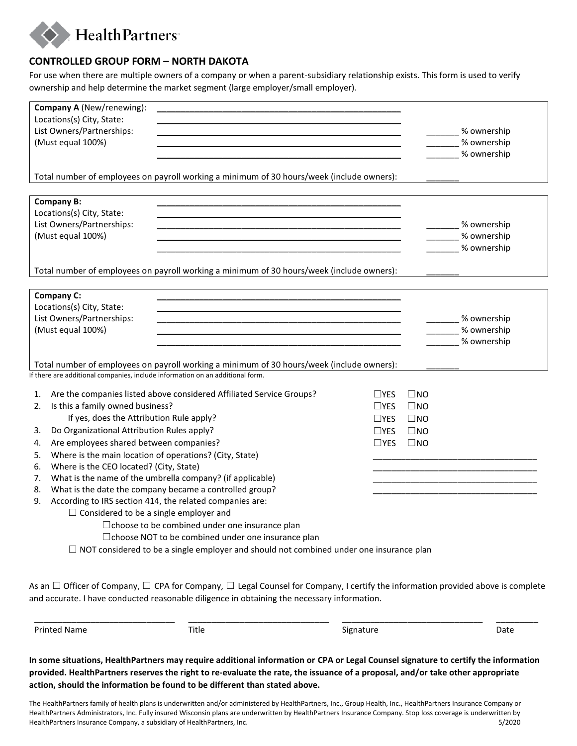

## **CONTROLLED GROUP FORM – NORTH DAKOTA**

For use when there are multiple owners of a company or when a parent-subsidiary relationship exists. This form is used to verify ownership and help determine the market segment (large employer/small employer).

| Company A (New/renewing):<br>Locations(s) City, State:                                                                                                                                                                                         |                                                                                                |               |              |                   |
|------------------------------------------------------------------------------------------------------------------------------------------------------------------------------------------------------------------------------------------------|------------------------------------------------------------------------------------------------|---------------|--------------|-------------------|
| List Owners/Partnerships:                                                                                                                                                                                                                      |                                                                                                |               |              | ____% ownership   |
| (Must equal 100%)                                                                                                                                                                                                                              |                                                                                                |               |              | % ownership       |
|                                                                                                                                                                                                                                                |                                                                                                |               |              | % ownership       |
|                                                                                                                                                                                                                                                |                                                                                                |               |              |                   |
| Total number of employees on payroll working a minimum of 30 hours/week (include owners):                                                                                                                                                      |                                                                                                |               |              |                   |
| <b>Company B:</b>                                                                                                                                                                                                                              |                                                                                                |               |              |                   |
| Locations(s) City, State:                                                                                                                                                                                                                      |                                                                                                |               |              |                   |
| List Owners/Partnerships:                                                                                                                                                                                                                      |                                                                                                |               |              | _____% ownership  |
| (Must equal 100%)                                                                                                                                                                                                                              |                                                                                                |               |              | _____ % ownership |
|                                                                                                                                                                                                                                                |                                                                                                |               |              | % ownership       |
|                                                                                                                                                                                                                                                |                                                                                                |               |              |                   |
| Total number of employees on payroll working a minimum of 30 hours/week (include owners):                                                                                                                                                      |                                                                                                |               |              |                   |
| Company C:                                                                                                                                                                                                                                     |                                                                                                |               |              |                   |
| Locations(s) City, State:                                                                                                                                                                                                                      |                                                                                                |               |              |                   |
| List Owners/Partnerships:                                                                                                                                                                                                                      |                                                                                                |               |              | % ownership       |
| (Must equal 100%)                                                                                                                                                                                                                              |                                                                                                |               |              | % ownership       |
|                                                                                                                                                                                                                                                |                                                                                                |               |              | % ownership       |
|                                                                                                                                                                                                                                                |                                                                                                |               |              |                   |
| Total number of employees on payroll working a minimum of 30 hours/week (include owners):                                                                                                                                                      |                                                                                                |               |              |                   |
| If there are additional companies, include information on an additional form.                                                                                                                                                                  |                                                                                                |               |              |                   |
| Are the companies listed above considered Affiliated Service Groups?<br>1.                                                                                                                                                                     |                                                                                                | $\sqcup$ YES  | $\square$ NO |                   |
| Is this a family owned business?<br>2.                                                                                                                                                                                                         |                                                                                                | $\Box$ YES    | $\square$ NO |                   |
| If yes, does the Attribution Rule apply?                                                                                                                                                                                                       |                                                                                                | $\square$ YES | $\square$ NO |                   |
| Do Organizational Attribution Rules apply?<br>3.                                                                                                                                                                                               |                                                                                                | $\Box$ YES    | $\square$ NO |                   |
| Are employees shared between companies?<br>4.                                                                                                                                                                                                  |                                                                                                | $\square$ YES | $\square$ NO |                   |
| Where is the main location of operations? (City, State)<br>5.                                                                                                                                                                                  |                                                                                                |               |              |                   |
| Where is the CEO located? (City, State)<br>6.                                                                                                                                                                                                  |                                                                                                |               |              |                   |
| What is the name of the umbrella company? (if applicable)<br>7.                                                                                                                                                                                |                                                                                                |               |              |                   |
| What is the date the company became a controlled group?<br>8.                                                                                                                                                                                  |                                                                                                |               |              |                   |
| According to IRS section 414, the related companies are:<br>9.                                                                                                                                                                                 |                                                                                                |               |              |                   |
| $\Box$ Considered to be a single employer and                                                                                                                                                                                                  |                                                                                                |               |              |                   |
|                                                                                                                                                                                                                                                | $\Box$ choose to be combined under one insurance plan                                          |               |              |                   |
|                                                                                                                                                                                                                                                | □ choose NOT to be combined under one insurance plan                                           |               |              |                   |
|                                                                                                                                                                                                                                                | $\Box$ NOT considered to be a single employer and should not combined under one insurance plan |               |              |                   |
|                                                                                                                                                                                                                                                |                                                                                                |               |              |                   |
|                                                                                                                                                                                                                                                |                                                                                                |               |              |                   |
| As an $\Box$ Officer of Company, $\Box$ CPA for Company, $\Box$ Legal Counsel for Company, I certify the information provided above is complete<br>and accurate. I have conducted reasonable diligence in obtaining the necessary information. |                                                                                                |               |              |                   |
|                                                                                                                                                                                                                                                |                                                                                                |               |              |                   |
|                                                                                                                                                                                                                                                |                                                                                                |               |              |                   |

**In some situations, HealthPartners may require additional information or CPA or Legal Counsel signature to certify the information provided. HealthPartners reserves the right to re-evaluate the rate, the issuance of a proposal, and/or take other appropriate action, should the information be found to be different than stated above.** 

The HealthPartners family of health plans is underwritten and/or administered by HealthPartners, Inc., Group Health, Inc., HealthPartners Insurance Company or HealthPartners Administrators, Inc. Fully insured Wisconsin plans are underwritten by HealthPartners Insurance Company. Stop loss coverage is underwritten by HealthPartners Insurance Company, a subsidiary of HealthPartners, Inc. 5/2020